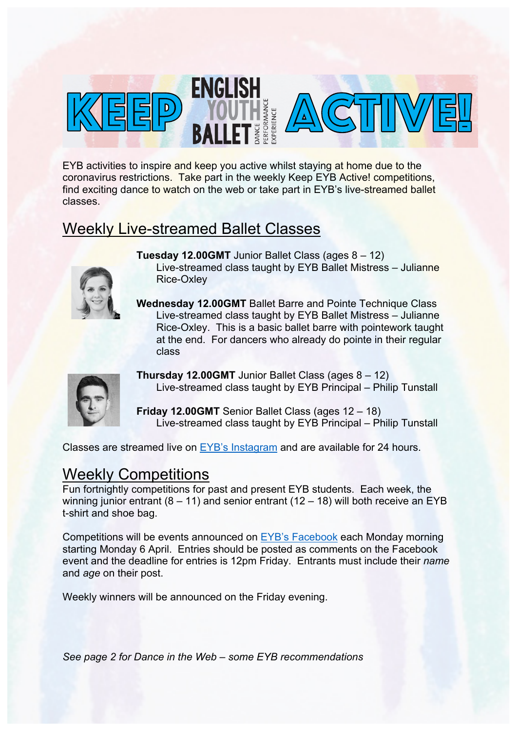

EYB activities to inspire and keep you active whilst staying at home due to the coronavirus restrictions. Take part in the weekly Keep EYB Active! competitions, find exciting dance to watch on the web or take part in EYB's live-streamed ballet classes.

## Weekly Live-streamed Ballet Classes



- **Tuesday 12.00GMT** Junior Ballet Class (ages 8 12) Live-streamed class taught by EYB Ballet Mistress – Julianne Rice-Oxley
- **Wednesday 12.00GMT** Ballet Barre and Pointe Technique Class Live-streamed class taught by EYB Ballet Mistress – Julianne Rice-Oxley. This is a basic ballet barre with pointework taught at the end. For dancers who already do pointe in their regular class



**Thursday 12.00GMT** Junior Ballet Class (ages 8 – 12) Live-streamed class taught by EYB Principal – Philip Tunstall

**Friday 12.00GMT** Senior Ballet Class (ages 12 – 18) Live-streamed class taught by EYB Principal – Philip Tunstall

Classes are streamed live on EYB's Instagram and are available for 24 hours.

## Weekly Competitions

Fun fortnightly competitions for past and present EYB students. Each week, the winning junior entrant  $(8 - 11)$  and senior entrant  $(12 - 18)$  will both receive an EYB t-shirt and shoe bag.

Competitions will be events announced on EYB's Facebook each Monday morning starting Monday 6 April. Entries should be posted as comments on the Facebook event and the deadline for entries is 12pm Friday. Entrants must include their *name*  and *age* on their post.

Weekly winners will be announced on the Friday evening.

*See page 2 for Dance in the Web – some EYB recommendations*